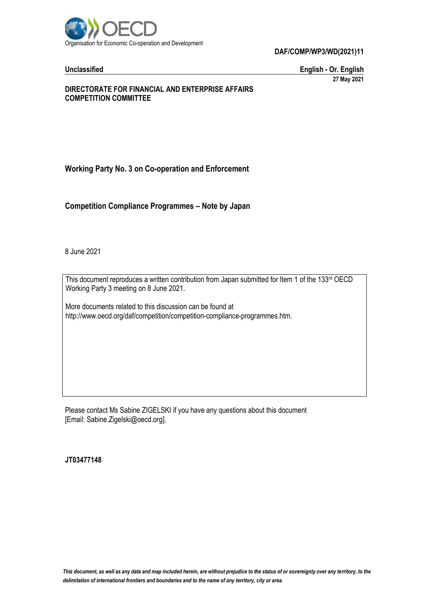

**Unclassified English - Or. English 27 May 2021**

#### **DIRECTORATE FOR FINANCIAL AND ENTERPRISE AFFAIRS COMPETITION COMMITTEE**

# **Working Party No. 3 on Co-operation and Enforcement**

**Competition Compliance Programmes – Note by Japan**

8 June 2021

This document reproduces a written contribution from Japan submitted for Item 1 of the 133rd OECD Working Party 3 meeting on 8 June 2021.

More documents related to this discussion can be found at http://www.oecd.org/daf/competition/competition-compliance-programmes.htm.

Please contact Ms Sabine ZIGELSKI if you have any questions about this document [Email: Sabine.Zigelski@oecd.org].

**JT03477148**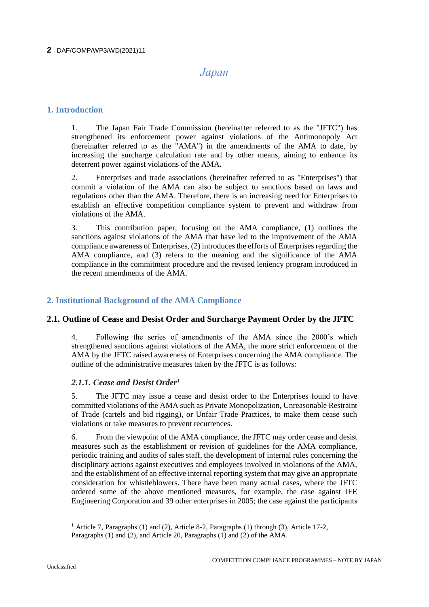# *Japan*

# **1. Introduction**

1. The Japan Fair Trade Commission (hereinafter referred to as the "JFTC") has strengthened its enforcement power against violations of the Antimonopoly Act (hereinafter referred to as the "AMA") in the amendments of the AMA to date, by increasing the surcharge calculation rate and by other means, aiming to enhance its deterrent power against violations of the AMA.

2. Enterprises and trade associations (hereinafter referred to as "Enterprises") that commit a violation of the AMA can also be subject to sanctions based on laws and regulations other than the AMA. Therefore, there is an increasing need for Enterprises to establish an effective competition compliance system to prevent and withdraw from violations of the AMA.

3. This contribution paper, focusing on the AMA compliance, (1) outlines the sanctions against violations of the AMA that have led to the improvement of the AMA compliance awareness of Enterprises, (2) introduces the efforts of Enterprises regarding the AMA compliance, and (3) refers to the meaning and the significance of the AMA compliance in the commitment procedure and the revised leniency program introduced in the recent amendments of the AMA.

# **2. Institutional Background of the AMA Compliance**

# **2.1. Outline of Cease and Desist Order and Surcharge Payment Order by the JFTC**

4. Following the series of amendments of the AMA since the 2000's which strengthened sanctions against violations of the AMA, the more strict enforcement of the AMA by the JFTC raised awareness of Enterprises concerning the AMA compliance. The outline of the administrative measures taken by the JFTC is as follows:

#### *2.1.1. Cease and Desist Order<sup>1</sup>*

5. The JFTC may issue a cease and desist order to the Enterprises found to have committed violations of the AMA such as Private Monopolization, Unreasonable Restraint of Trade (cartels and bid rigging), or Unfair Trade Practices, to make them cease such violations or take measures to prevent recurrences.

6. From the viewpoint of the AMA compliance, the JFTC may order cease and desist measures such as the establishment or revision of guidelines for the AMA compliance, periodic training and audits of sales staff, the development of internal rules concerning the disciplinary actions against executives and employees involved in violations of the AMA, and the establishment of an effective internal reporting system that may give an appropriate consideration for whistleblowers. There have been many actual cases, where the JFTC ordered some of the above mentioned measures, for example, the case against JFE Engineering Corporation and 39 other enterprises in 2005; the case against the participants

<sup>1</sup> Article 7, Paragraphs (1) and (2), Article 8-2, Paragraphs (1) through (3), Article 17-2, Paragraphs (1) and (2), and Article 20, Paragraphs (1) and (2) of the AMA.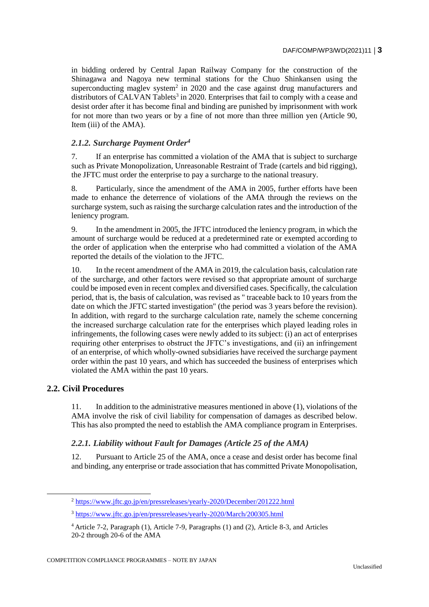in bidding ordered by Central Japan Railway Company for the construction of the Shinagawa and Nagoya new terminal stations for the Chuo Shinkansen using the superconducting maglev system<sup>2</sup> in 2020 and the case against drug manufacturers and distributors of CALVAN Tablets<sup>3</sup> in 2020. Enterprises that fail to comply with a cease and desist order after it has become final and binding are punished by imprisonment with work for not more than two years or by a fine of not more than three million yen (Article 90, Item (iii) of the AMA).

#### *2.1.2. Surcharge Payment Order<sup>4</sup>*

7. If an enterprise has committed a violation of the AMA that is subject to surcharge such as Private Monopolization, Unreasonable Restraint of Trade (cartels and bid rigging), the JFTC must order the enterprise to pay a surcharge to the national treasury.

8. Particularly, since the amendment of the AMA in 2005, further efforts have been made to enhance the deterrence of violations of the AMA through the reviews on the surcharge system, such as raising the surcharge calculation rates and the introduction of the leniency program.

9. In the amendment in 2005, the JFTC introduced the leniency program, in which the amount of surcharge would be reduced at a predetermined rate or exempted according to the order of application when the enterprise who had committed a violation of the AMA reported the details of the violation to the JFTC.

10. In the recent amendment of the AMA in 2019, the calculation basis, calculation rate of the surcharge, and other factors were revised so that appropriate amount of surcharge could be imposed even in recent complex and diversified cases. Specifically, the calculation period, that is, the basis of calculation, was revised as " traceable back to 10 years from the date on which the JFTC started investigation" (the period was 3 years before the revision). In addition, with regard to the surcharge calculation rate, namely the scheme concerning the increased surcharge calculation rate for the enterprises which played leading roles in infringements, the following cases were newly added to its subject: (i) an act of enterprises requiring other enterprises to obstruct the JFTC's investigations, and (ii) an infringement of an enterprise, of which wholly-owned subsidiaries have received the surcharge payment order within the past 10 years, and which has succeeded the business of enterprises which violated the AMA within the past 10 years.

#### **2.2. Civil Procedures**

11. In addition to the administrative measures mentioned in above (1), violations of the AMA involve the risk of civil liability for compensation of damages as described below. This has also prompted the need to establish the AMA compliance program in Enterprises.

#### *2.2.1. Liability without Fault for Damages (Article 25 of the AMA)*

12. Pursuant to Article 25 of the AMA, once a cease and desist order has become final and binding, any enterprise or trade association that has committed Private Monopolisation,

<sup>2</sup> <https://www.jftc.go.jp/en/pressreleases/yearly-2020/December/201222.html>

<sup>3</sup> <https://www.jftc.go.jp/en/pressreleases/yearly-2020/March/200305.html>

<sup>4</sup> Article 7-2, Paragraph (1), Article 7-9, Paragraphs (1) and (2), Article 8-3, and Articles 20-2 through 20-6 of the AMA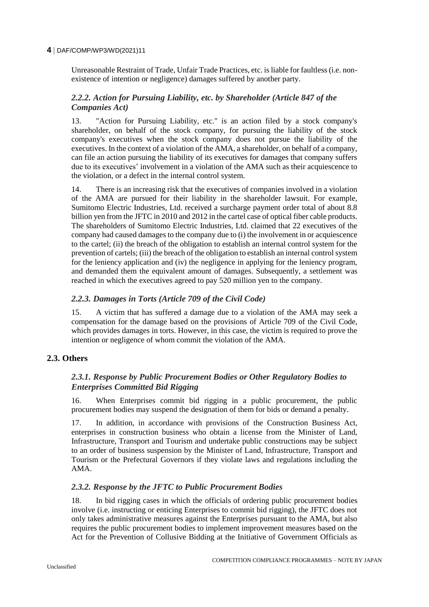Unreasonable Restraint of Trade, Unfair Trade Practices, etc. is liable for faultless (i.e. nonexistence of intention or negligence) damages suffered by another party.

#### *2.2.2. Action for Pursuing Liability, etc. by Shareholder (Article 847 of the Companies Act)*

13. "Action for Pursuing Liability, etc." is an action filed by a stock company's shareholder, on behalf of the stock company, for pursuing the liability of the stock company's executives when the stock company does not pursue the liability of the executives. In the context of a violation of the AMA, a shareholder, on behalf of a company, can file an action pursuing the liability of its executives for damages that company suffers due to its executives' involvement in a violation of the AMA such as their acquiescence to the violation, or a defect in the internal control system.

14. There is an increasing risk that the executives of companies involved in a violation of the AMA are pursued for their liability in the shareholder lawsuit. For example, Sumitomo Electric Industries, Ltd. received a surcharge payment order total of about 8.8 billion yen from the JFTC in 2010 and 2012 in the cartel case of optical fiber cable products. The shareholders of Sumitomo Electric Industries, Ltd. claimed that 22 executives of the company had caused damages to the company due to (i) the involvement in or acquiescence to the cartel; (ii) the breach of the obligation to establish an internal control system for the prevention of cartels; (iii) the breach of the obligation to establish an internal control system for the leniency application and (iv) the negligence in applying for the leniency program, and demanded them the equivalent amount of damages. Subsequently, a settlement was reached in which the executives agreed to pay 520 million yen to the company.

# *2.2.3. Damages in Torts (Article 709 of the Civil Code)*

15. A victim that has suffered a damage due to a violation of the AMA may seek a compensation for the damage based on the provisions of Article 709 of the Civil Code, which provides damages in torts. However, in this case, the victim is required to prove the intention or negligence of whom commit the violation of the AMA.

#### **2.3. Others**

# *2.3.1. Response by Public Procurement Bodies or Other Regulatory Bodies to Enterprises Committed Bid Rigging*

16. When Enterprises commit bid rigging in a public procurement, the public procurement bodies may suspend the designation of them for bids or demand a penalty.

17. In addition, in accordance with provisions of the Construction Business Act, enterprises in construction business who obtain a license from the Minister of Land, Infrastructure, Transport and Tourism and undertake public constructions may be subject to an order of business suspension by the Minister of Land, Infrastructure, Transport and Tourism or the Prefectural Governors if they violate laws and regulations including the AMA.

#### *2.3.2. Response by the JFTC to Public Procurement Bodies*

18. In bid rigging cases in which the officials of ordering public procurement bodies involve (i.e. instructing or enticing Enterprises to commit bid rigging), the JFTC does not only takes administrative measures against the Enterprises pursuant to the AMA, but also requires the public procurement bodies to implement improvement measures based on the Act for the Prevention of Collusive Bidding at the Initiative of Government Officials as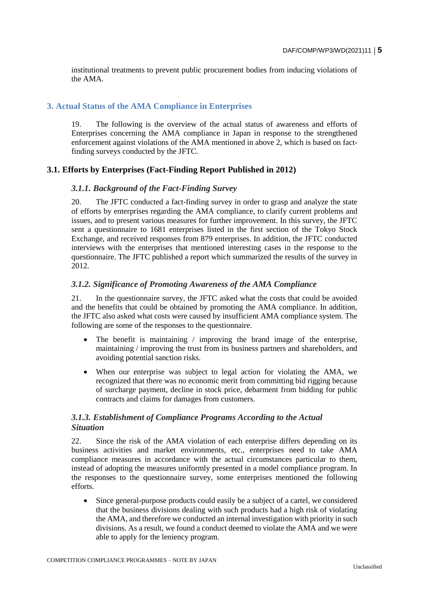institutional treatments to prevent public procurement bodies from inducing violations of the AMA.

#### **3. Actual Status of the AMA Compliance in Enterprises**

19. The following is the overview of the actual status of awareness and efforts of Enterprises concerning the AMA compliance in Japan in response to the strengthened enforcement against violations of the AMA mentioned in above 2, which is based on factfinding surveys conducted by the JFTC.

#### **3.1. Efforts by Enterprises (Fact-Finding Report Published in 2012)**

#### *3.1.1. Background of the Fact-Finding Survey*

20. The JFTC conducted a fact-finding survey in order to grasp and analyze the state of efforts by enterprises regarding the AMA compliance, to clarify current problems and issues, and to present various measures for further improvement. In this survey, the JFTC sent a questionnaire to 1681 enterprises listed in the first section of the Tokyo Stock Exchange, and received responses from 879 enterprises. In addition, the JFTC conducted interviews with the enterprises that mentioned interesting cases in the response to the questionnaire. The JFTC published a report which summarized the results of the survey in 2012.

#### *3.1.2. Significance of Promoting Awareness of the AMA Compliance*

21. In the questionnaire survey, the JFTC asked what the costs that could be avoided and the benefits that could be obtained by promoting the AMA compliance. In addition, the JFTC also asked what costs were caused by insufficient AMA compliance system. The following are some of the responses to the questionnaire.

- The benefit is maintaining / improving the brand image of the enterprise, maintaining / improving the trust from its business partners and shareholders, and avoiding potential sanction risks.
- When our enterprise was subject to legal action for violating the AMA, we recognized that there was no economic merit from committing bid rigging because of surcharge payment, decline in stock price, debarment from bidding for public contracts and claims for damages from customers.

#### *3.1.3. Establishment of Compliance Programs According to the Actual Situation*

22. Since the risk of the AMA violation of each enterprise differs depending on its business activities and market environments, etc., enterprises need to take AMA compliance measures in accordance with the actual circumstances particular to them, instead of adopting the measures uniformly presented in a model compliance program. In the responses to the questionnaire survey, some enterprises mentioned the following efforts.

 Since general-purpose products could easily be a subject of a cartel, we considered that the business divisions dealing with such products had a high risk of violating the AMA, and therefore we conducted an internal investigation with priority in such divisions. As a result, we found a conduct deemed to violate the AMA and we were able to apply for the leniency program.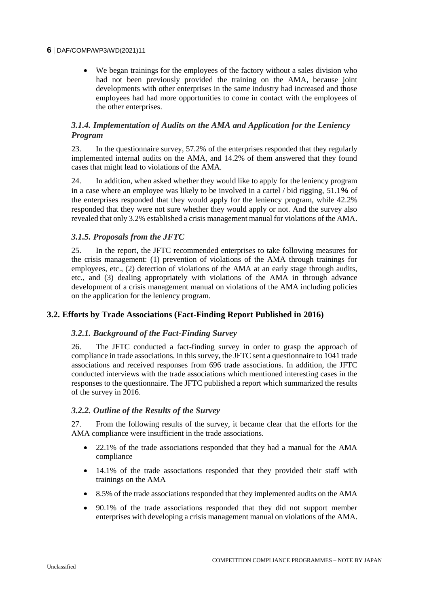We began trainings for the employees of the factory without a sales division who had not been previously provided the training on the AMA, because joint developments with other enterprises in the same industry had increased and those employees had had more opportunities to come in contact with the employees of the other enterprises.

# *3.1.4. Implementation of Audits on the AMA and Application for the Leniency Program*

23. In the questionnaire survey, 57.2% of the enterprises responded that they regularly implemented internal audits on the AMA, and 14.2% of them answered that they found cases that might lead to violations of the AMA.

24. In addition, when asked whether they would like to apply for the leniency program in a case where an employee was likely to be involved in a cartel / bid rigging, 51.1% of the enterprises responded that they would apply for the leniency program, while 42.2% responded that they were not sure whether they would apply or not. And the survey also revealed that only 3.2% established a crisis management manual for violations of the AMA.

# *3.1.5. Proposals from the JFTC*

25. In the report, the JFTC recommended enterprises to take following measures for the crisis management: (1) prevention of violations of the AMA through trainings for employees, etc., (2) detection of violations of the AMA at an early stage through audits, etc., and (3) dealing appropriately with violations of the AMA in through advance development of a crisis management manual on violations of the AMA including policies on the application for the leniency program.

#### **3.2. Efforts by Trade Associations (Fact-Finding Report Published in 2016)**

#### *3.2.1. Background of the Fact-Finding Survey*

26. The JFTC conducted a fact-finding survey in order to grasp the approach of compliance in trade associations. In this survey, the JFTC sent a questionnaire to 1041 trade associations and received responses from 696 trade associations. In addition, the JFTC conducted interviews with the trade associations which mentioned interesting cases in the responses to the questionnaire. The JFTC published a report which summarized the results of the survey in 2016.

#### *3.2.2. Outline of the Results of the Survey*

27. From the following results of the survey, it became clear that the efforts for the AMA compliance were insufficient in the trade associations.

- 22.1% of the trade associations responded that they had a manual for the AMA compliance
- 14.1% of the trade associations responded that they provided their staff with trainings on the AMA
- 8.5% of the trade associations responded that they implemented audits on the AMA
- 90.1% of the trade associations responded that they did not support member enterprises with developing a crisis management manual on violations of the AMA.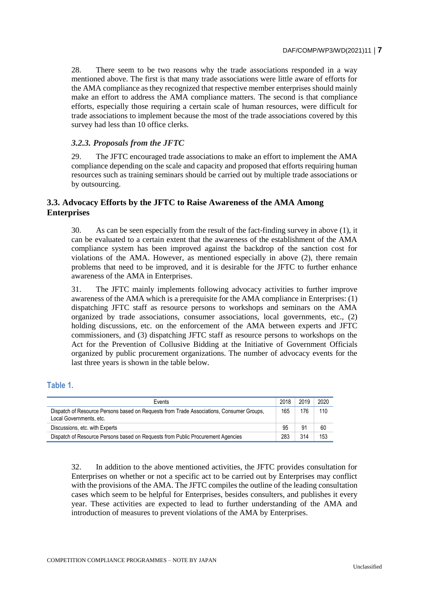28. There seem to be two reasons why the trade associations responded in a way mentioned above. The first is that many trade associations were little aware of efforts for the AMA compliance as they recognized that respective member enterprises should mainly make an effort to address the AMA compliance matters. The second is that compliance efforts, especially those requiring a certain scale of human resources, were difficult for trade associations to implement because the most of the trade associations covered by this survey had less than 10 office clerks.

## *3.2.3. Proposals from the JFTC*

29. The JFTC encouraged trade associations to make an effort to implement the AMA compliance depending on the scale and capacity and proposed that efforts requiring human resources such as training seminars should be carried out by multiple trade associations or by outsourcing.

#### **3.3. Advocacy Efforts by the JFTC to Raise Awareness of the AMA Among Enterprises**

30. As can be seen especially from the result of the fact-finding survey in above (1), it can be evaluated to a certain extent that the awareness of the establishment of the AMA compliance system has been improved against the backdrop of the sanction cost for violations of the AMA. However, as mentioned especially in above (2), there remain problems that need to be improved, and it is desirable for the JFTC to further enhance awareness of the AMA in Enterprises.

31. The JFTC mainly implements following advocacy activities to further improve awareness of the AMA which is a prerequisite for the AMA compliance in Enterprises: (1) dispatching JFTC staff as resource persons to workshops and seminars on the AMA organized by trade associations, consumer associations, local governments, etc., (2) holding discussions, etc. on the enforcement of the AMA between experts and JFTC commissioners, and (3) dispatching JFTC staff as resource persons to workshops on the Act for the Prevention of Collusive Bidding at the Initiative of Government Officials organized by public procurement organizations. The number of advocacy events for the last three years is shown in the table below.

#### **Table 1.**

| Events                                                                                                              | 2018 | 2019 | 2020 |
|---------------------------------------------------------------------------------------------------------------------|------|------|------|
| Dispatch of Resource Persons based on Requests from Trade Associations, Consumer Groups,<br>Local Governments, etc. | 165  | 176  | 110  |
| Discussions, etc. with Experts                                                                                      | 95   | 91   | 60   |
| Dispatch of Resource Persons based on Requests from Public Procurement Agencies                                     | 283  | 314  | 153  |

32. In addition to the above mentioned activities, the JFTC provides consultation for Enterprises on whether or not a specific act to be carried out by Enterprises may conflict with the provisions of the AMA. The JFTC compiles the outline of the leading consultation cases which seem to be helpful for Enterprises, besides consulters, and publishes it every year. These activities are expected to lead to further understanding of the AMA and introduction of measures to prevent violations of the AMA by Enterprises.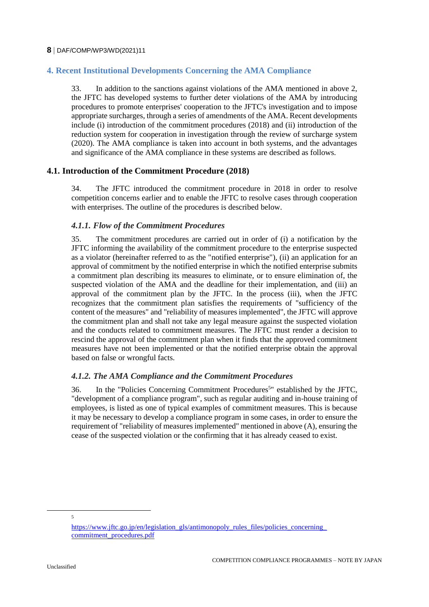# **4. Recent Institutional Developments Concerning the AMA Compliance**

33. In addition to the sanctions against violations of the AMA mentioned in above 2, the JFTC has developed systems to further deter violations of the AMA by introducing procedures to promote enterprises' cooperation to the JFTC's investigation and to impose appropriate surcharges, through a series of amendments of the AMA. Recent developments include (i) introduction of the commitment procedures (2018) and (ii) introduction of the reduction system for cooperation in investigation through the review of surcharge system (2020). The AMA compliance is taken into account in both systems, and the advantages and significance of the AMA compliance in these systems are described as follows.

#### **4.1. Introduction of the Commitment Procedure (2018)**

34. The JFTC introduced the commitment procedure in 2018 in order to resolve competition concerns earlier and to enable the JFTC to resolve cases through cooperation with enterprises. The outline of the procedures is described below.

#### *4.1.1. Flow of the Commitment Procedures*

35. The commitment procedures are carried out in order of (i) a notification by the JFTC informing the availability of the commitment procedure to the enterprise suspected as a violator (hereinafter referred to as the "notified enterprise"), (ii) an application for an approval of commitment by the notified enterprise in which the notified enterprise submits a commitment plan describing its measures to eliminate, or to ensure elimination of, the suspected violation of the AMA and the deadline for their implementation, and (iii) an approval of the commitment plan by the JFTC. In the process (iii), when the JFTC recognizes that the commitment plan satisfies the requirements of "sufficiency of the content of the measures" and "reliability of measures implemented", the JFTC will approve the commitment plan and shall not take any legal measure against the suspected violation and the conducts related to commitment measures. The JFTC must render a decision to rescind the approval of the commitment plan when it finds that the approved commitment measures have not been implemented or that the notified enterprise obtain the approval based on false or wrongful facts.

#### *4.1.2. The AMA Compliance and the Commitment Procedures*

36. In the "Policies Concerning Commitment Procedures<sup>5</sup>" established by the JFTC, "development of a compliance program", such as regular auditing and in-house training of employees, is listed as one of typical examples of commitment measures. This is because it may be necessary to develop a compliance program in some cases, in order to ensure the requirement of "reliability of measures implemented" mentioned in above (A), ensuring the cease of the suspected violation or the confirming that it has already ceased to exist.

5

 $\overline{a}$ 

https://www.jftc.go.jp/en/legislation\_gls/antimonopoly\_rules\_files/policies\_concerning [commitment\\_procedures.pdf](https://www.jftc.go.jp/en/legislation_gls/antimonopoly_rules_files/policies_concerning_commitment_procedures.pdf)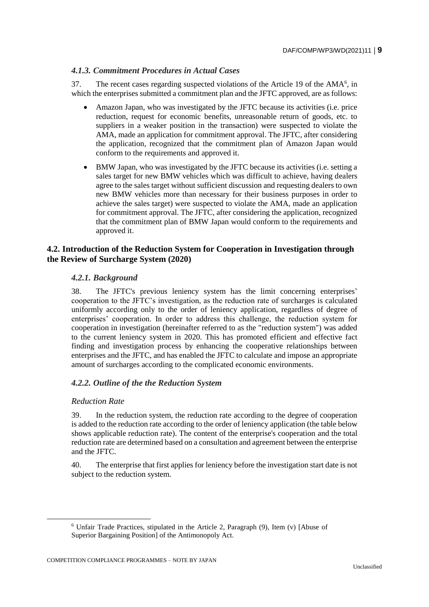# *4.1.3. Commitment Procedures in Actual Cases*

37. The recent cases regarding suspected violations of the Article 19 of the AMA<sup>6</sup>, in which the enterprises submitted a commitment plan and the JFTC approved, are as follows:

- Amazon Japan, who was investigated by the JFTC because its activities (i.e. price reduction, request for economic benefits, unreasonable return of goods, etc. to suppliers in a weaker position in the transaction) were suspected to violate the AMA, made an application for commitment approval. The JFTC, after considering the application, recognized that the commitment plan of Amazon Japan would conform to the requirements and approved it.
- BMW Japan, who was investigated by the JFTC because its activities (i.e. setting a sales target for new BMW vehicles which was difficult to achieve, having dealers agree to the sales target without sufficient discussion and requesting dealers to own new BMW vehicles more than necessary for their business purposes in order to achieve the sales target) were suspected to violate the AMA, made an application for commitment approval. The JFTC, after considering the application, recognized that the commitment plan of BMW Japan would conform to the requirements and approved it.

## **4.2. Introduction of the Reduction System for Cooperation in Investigation through the Review of Surcharge System (2020)**

#### *4.2.1. Background*

38. The JFTC's previous leniency system has the limit concerning enterprises' cooperation to the JFTC's investigation, as the reduction rate of surcharges is calculated uniformly according only to the order of leniency application, regardless of degree of enterprises' cooperation. In order to address this challenge, the reduction system for cooperation in investigation (hereinafter referred to as the "reduction system") was added to the current leniency system in 2020. This has promoted efficient and effective fact finding and investigation process by enhancing the cooperative relationships between enterprises and the JFTC, and has enabled the JFTC to calculate and impose an appropriate amount of surcharges according to the complicated economic environments.

#### *4.2.2. Outline of the the Reduction System*

#### *Reduction Rate*

39. In the reduction system, the reduction rate according to the degree of cooperation is added to the reduction rate according to the order of leniency application (the table below shows applicable reduction rate). The content of the enterprise's cooperation and the total reduction rate are determined based on a consultation and agreement between the enterprise and the JFTC.

40. The enterprise that first applies for leniency before the investigation start date is not subject to the reduction system.

 $6$  Unfair Trade Practices, stipulated in the Article 2, Paragraph (9), Item (y) [Abuse of Superior Bargaining Position] of the Antimonopoly Act.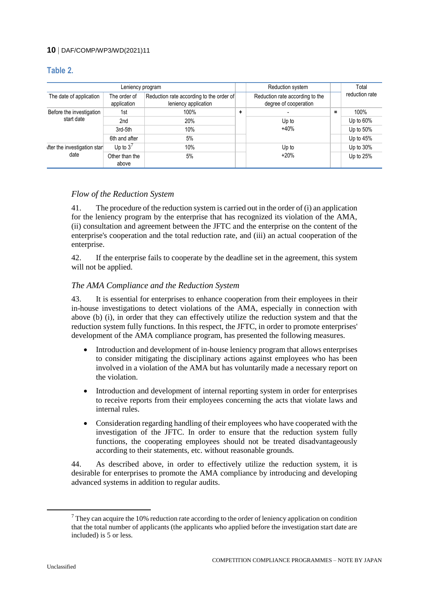# **Table 2.**

| Leniency program                       |                             |                                                                  |       | Reduction system                                         |          | Total          |  |
|----------------------------------------|-----------------------------|------------------------------------------------------------------|-------|----------------------------------------------------------|----------|----------------|--|
| The date of application                | The order of<br>application | Reduction rate according to the order of<br>leniency application |       | Reduction rate according to the<br>degree of cooperation |          | reduction rate |  |
| Before the investigation<br>start date | 1st                         | 100%                                                             | ÷     |                                                          | $\equiv$ | 100%           |  |
|                                        | 2nd                         | 20%                                                              |       | Up to<br>$+40%$                                          |          | Up to $60\%$   |  |
|                                        | 3rd-5th                     | 10%                                                              |       |                                                          |          | Up to $50\%$   |  |
|                                        | 6th and after               | 5%                                                               |       |                                                          |          | Up to $45%$    |  |
| wfter the investigation star<br>date   | Up to $3^7$                 | 10%                                                              | Up to |                                                          |          | Up to 30%      |  |
|                                        | Other than the<br>above     | 5%                                                               |       | $+20%$                                                   |          | Up to 25%      |  |

#### *Flow of the Reduction System*

41. The procedure of the reduction system is carried out in the order of (i) an application for the leniency program by the enterprise that has recognized its violation of the AMA, (ii) consultation and agreement between the JFTC and the enterprise on the content of the enterprise's cooperation and the total reduction rate, and (iii) an actual cooperation of the enterprise.

42. If the enterprise fails to cooperate by the deadline set in the agreement, this system will not be applied.

#### *The AMA Compliance and the Reduction System*

43. It is essential for enterprises to enhance cooperation from their employees in their in-house investigations to detect violations of the AMA, especially in connection with above (b) (i), in order that they can effectively utilize the reduction system and that the reduction system fully functions. In this respect, the JFTC, in order to promote enterprises' development of the AMA compliance program, has presented the following measures.

- Introduction and development of in-house leniency program that allows enterprises to consider mitigating the disciplinary actions against employees who has been involved in a violation of the AMA but has voluntarily made a necessary report on the violation.
- Introduction and development of internal reporting system in order for enterprises to receive reports from their employees concerning the acts that violate laws and internal rules.
- Consideration regarding handling of their employees who have cooperated with the investigation of the JFTC. In order to ensure that the reduction system fully functions, the cooperating employees should not be treated disadvantageously according to their statements, etc. without reasonable grounds.

44. As described above, in order to effectively utilize the reduction system, it is desirable for enterprises to promote the AMA compliance by introducing and developing advanced systems in addition to regular audits.

 $\overline{a}$ 

<sup>7</sup> They can acquire the 10% reduction rate according to the order of leniency application on condition that the total number of applicants (the applicants who applied before the investigation start date are included) is 5 or less.